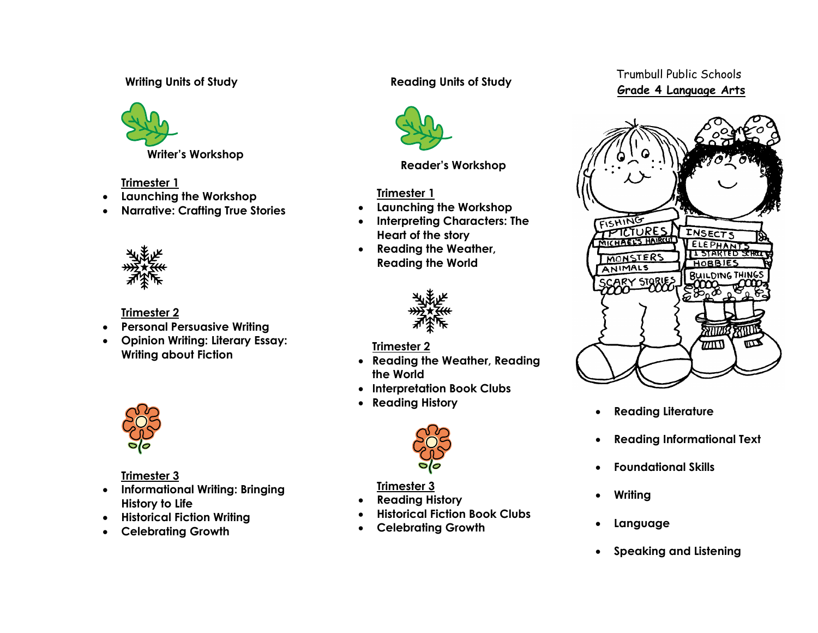# **Writing Units of Study**



**Writer's Workshop**

# **Trimester 1**

- **Launching the Workshop**
- **Narrative: Crafting True Stories**



# **Trimester 2**

- **Personal Persuasive Writing**
- **Opinion Writing: Literary Essay: Writing about Fiction**



# **Trimester 3**

- **Informational Writing: Bringing History to Life**
- **Historical Fiction Writing**
- **Celebrating Growth**

# **Reading Units of Study**



**Reader's Workshop**

# **Trimester 1**

- **Launching the Workshop**
- **Interpreting Characters: The Heart of the story**
- **Reading the Weather, Reading the World**



## **Trimester 2**

- **Reading the Weather, Reading the World**
- **Interpretation Book Clubs**
- **Reading History**



## **Trimester 3**

- **Reading History**
- **Historical Fiction Book Clubs**
- **Celebrating Growth**

# Trumbull Public Schools **Grade 4 Language Arts**



- **Reading Literature**
- **Reading Informational Text**
- **Foundational Skills**
- **Writing**
- **Language**
- **Speaking and Listening**